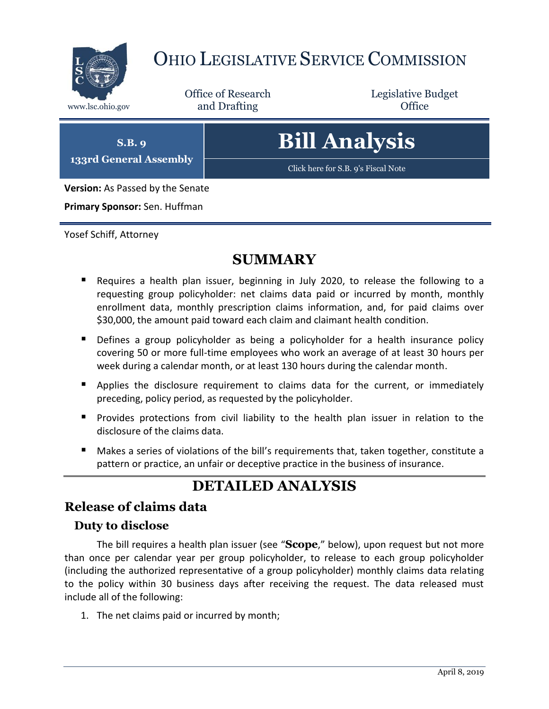

# OHIO LEGISLATIVE SERVICE COMMISSION

Office of Research www.lsc.ohio.gov and Drafting Control of Control of the Control of Control of the Control of Control of the Control of the Control of the Control of the Control of the Control of the Control of the Control of the Control o

Legislative Budget

**S.B. 9 133rd General Assembly** **Bill Analysis**

[Click here for S.B. 9's Fiscal Note](https://www.legislature.ohio.gov/legislation/legislation-documents?id=GA133-SB-9)

**Version:** As Passed by the Senate

**Primary Sponsor:** Sen. Huffman

Yosef Schiff, Attorney

# **SUMMARY**

- Requires a health plan issuer, beginning in July 2020, to release the following to a requesting group policyholder: net claims data paid or incurred by month, monthly enrollment data, monthly prescription claims information, and, for paid claims over \$30,000, the amount paid toward each claim and claimant health condition.
- **Defines a group policyholder as being a policyholder for a health insurance policy** covering 50 or more full-time employees who work an average of at least 30 hours per week during a calendar month, or at least 130 hours during the calendar month.
- Applies the disclosure requirement to claims data for the current, or immediately preceding, policy period, as requested by the policyholder.
- **Provides protections from civil liability to the health plan issuer in relation to the** disclosure of the claims data.
- Makes a series of violations of the bill's requirements that, taken together, constitute a pattern or practice, an unfair or deceptive practice in the business of insurance.

# **DETAILED ANALYSIS**

#### **Release of claims data**

#### **Duty to disclose**

The bill requires a health plan issuer (see "**Scope**," below), upon request but not more than once per calendar year per group policyholder, to release to each group policyholder (including the authorized representative of a group policyholder) monthly claims data relating to the policy within 30 business days after receiving the request. The data released must include all of the following:

1. The net claims paid or incurred by month;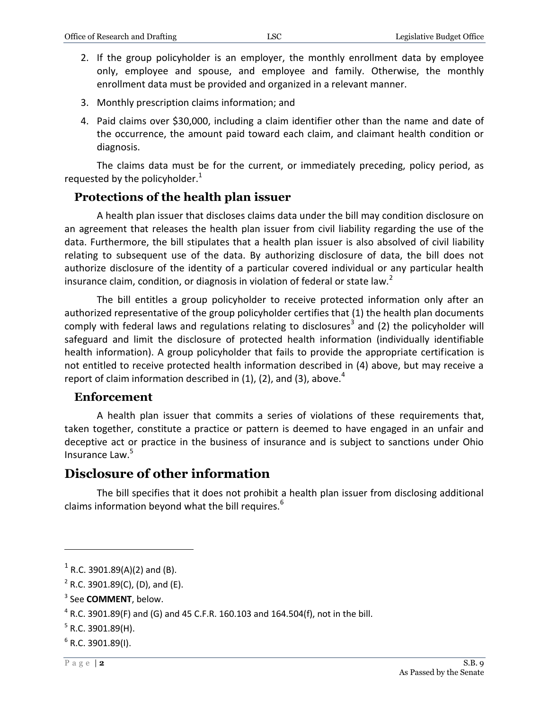- 2. If the group policyholder is an employer, the monthly enrollment data by employee only, employee and spouse, and employee and family. Otherwise, the monthly enrollment data must be provided and organized in a relevant manner.
- 3. Monthly prescription claims information; and
- 4. Paid claims over \$30,000, including a claim identifier other than the name and date of the occurrence, the amount paid toward each claim, and claimant health condition or diagnosis.

The claims data must be for the current, or immediately preceding, policy period, as requested by the policyholder. $1$ 

#### **Protections of the health plan issuer**

A health plan issuer that discloses claims data under the bill may condition disclosure on an agreement that releases the health plan issuer from civil liability regarding the use of the data. Furthermore, the bill stipulates that a health plan issuer is also absolved of civil liability relating to subsequent use of the data. By authorizing disclosure of data, the bill does not authorize disclosure of the identity of a particular covered individual or any particular health insurance claim, condition, or diagnosis in violation of federal or state law.<sup>2</sup>

The bill entitles a group policyholder to receive protected information only after an authorized representative of the group policyholder certifies that (1) the health plan documents comply with federal laws and regulations relating to disclosures<sup>3</sup> and (2) the policyholder will safeguard and limit the disclosure of protected health information (individually identifiable health information). A group policyholder that fails to provide the appropriate certification is not entitled to receive protected health information described in (4) above, but may receive a report of claim information described in  $(1)$ ,  $(2)$ , and  $(3)$ , above.<sup>4</sup>

#### **Enforcement**

A health plan issuer that commits a series of violations of these requirements that, taken together, constitute a practice or pattern is deemed to have engaged in an unfair and deceptive act or practice in the business of insurance and is subject to sanctions under Ohio Insurance Law.<sup>5</sup>

### **Disclosure of other information**

The bill specifies that it does not prohibit a health plan issuer from disclosing additional claims information beyond what the bill requires.<sup>6</sup>

 $\overline{a}$ 

 $^{1}$  R.C. 3901.89(A)(2) and (B).

 $2^2$  R.C. 3901.89(C), (D), and (E).

<sup>3</sup> See **COMMENT**, below.

 $^4$  R.C. 3901.89(F) and (G) and 45 C.F.R. 160.103 and 164.504(f), not in the bill.

 $5$  R.C. 3901.89(H).

 $6$  R.C. 3901.89(I).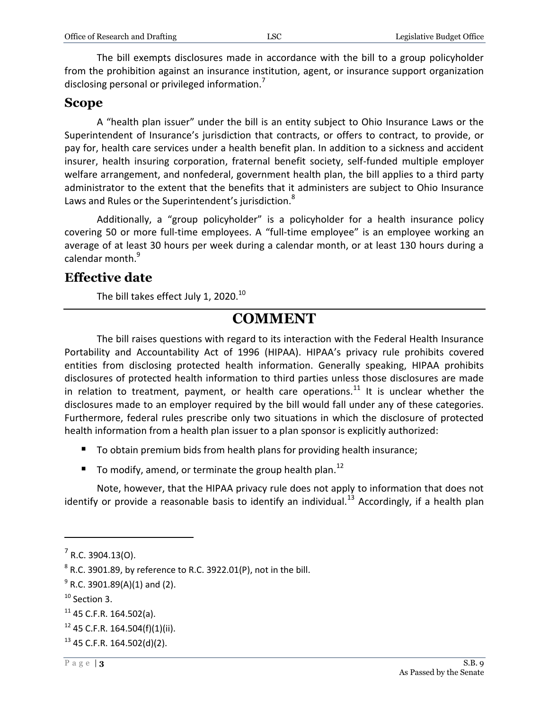The bill exempts disclosures made in accordance with the bill to a group policyholder from the prohibition against an insurance institution, agent, or insurance support organization disclosing personal or privileged information.<sup>7</sup>

#### **Scope**

A "health plan issuer" under the bill is an entity subject to Ohio Insurance Laws or the Superintendent of Insurance's jurisdiction that contracts, or offers to contract, to provide, or pay for, health care services under a health benefit plan. In addition to a sickness and accident insurer, health insuring corporation, fraternal benefit society, self-funded multiple employer welfare arrangement, and nonfederal, government health plan, the bill applies to a third party administrator to the extent that the benefits that it administers are subject to Ohio Insurance Laws and Rules or the Superintendent's jurisdiction.<sup>8</sup>

Additionally, a "group policyholder" is a policyholder for a health insurance policy covering 50 or more full-time employees. A "full-time employee" is an employee working an average of at least 30 hours per week during a calendar month, or at least 130 hours during a calendar month.<sup>9</sup>

#### **Effective date**

The bill takes effect July 1, 2020. $^{10}$ 

## **COMMENT**

The bill raises questions with regard to its interaction with the Federal Health Insurance Portability and Accountability Act of 1996 (HIPAA). HIPAA's privacy rule prohibits covered entities from disclosing protected health information. Generally speaking, HIPAA prohibits disclosures of protected health information to third parties unless those disclosures are made in relation to treatment, payment, or health care operations.<sup>11</sup> It is unclear whether the disclosures made to an employer required by the bill would fall under any of these categories. Furthermore, federal rules prescribe only two situations in which the disclosure of protected health information from a health plan issuer to a plan sponsor is explicitly authorized:

- To obtain premium bids from health plans for providing health insurance;
- To modify, amend, or terminate the group health plan.<sup>12</sup>

Note, however, that the HIPAA privacy rule does not apply to information that does not identify or provide a reasonable basis to identify an individual.<sup>13</sup> Accordingly, if a health plan

 $\overline{a}$ 

 $<sup>7</sup>$  R.C. 3904.13(O).</sup>

 $^8$  R.C. 3901.89, by reference to R.C. 3922.01(P), not in the bill.

 $^9$  R.C. 3901.89(A)(1) and (2).

 $10$  Section 3.

 $11$  45 C.F.R. 164.502(a).

 $12$  45 C.F.R. 164.504(f)(1)(ii).

 $13$  45 C.F.R. 164.502(d)(2).